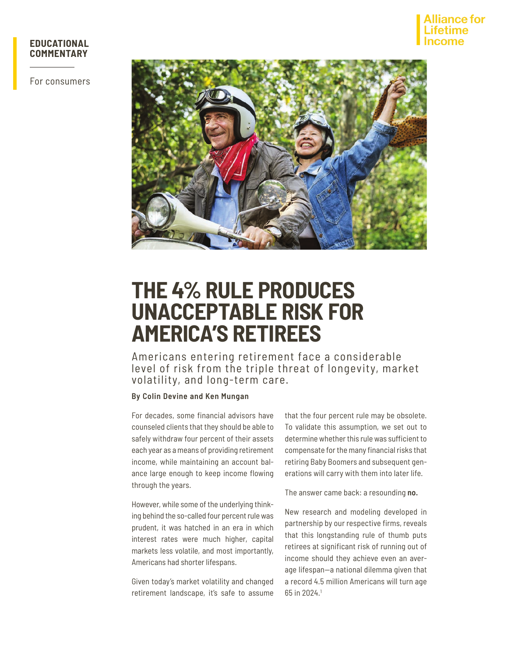

For consumers



# **THE 4% RULE PRODUCES UNACCEPTABLE RISK FOR AMERICA'S RETIREES**

Americans entering retirement face a considerable level of risk from the triple threat of longevity, market volatility, and long-term care.

#### **By Colin Devine and Ken Mungan**

For decades, some financial advisors have counseled clients that they should be able to safely withdraw four percent of their assets each year as a means of providing retirement income, while maintaining an account balance large enough to keep income flowing through the years.

However, while some of the underlying thinking behind the so-called four percent rule was prudent, it was hatched in an era in which interest rates were much higher, capital markets less volatile, and most importantly, Americans had shorter lifespans.

Given today's market volatility and changed retirement landscape, it's safe to assume that the four percent rule may be obsolete. To validate this assumption, we set out to determine whether this rule was sufficient to compensate for the many financial risks that retiring Baby Boomers and subsequent generations will carry with them into later life.

The answer came back: a resounding **no.**

New research and modeling developed in partnership by our respective firms, reveals that this longstanding rule of thumb puts retirees at significant risk of running out of income should they achieve even an average lifespan—a national dilemma given that a record 4.5 million Americans will turn age 65 in 2024.1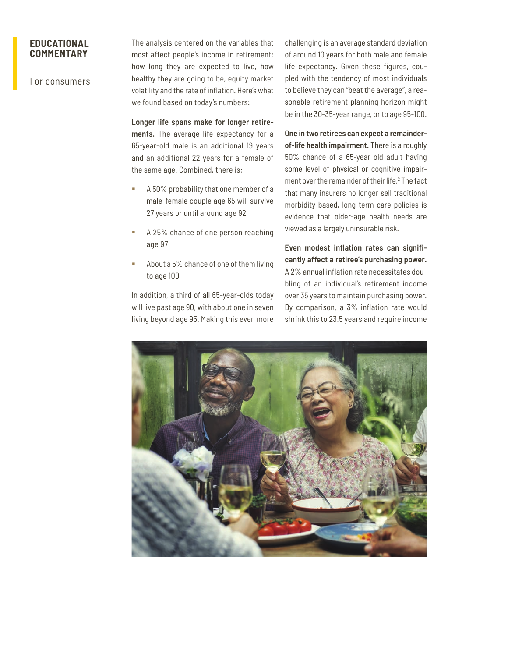For consumers

The analysis centered on the variables that most affect people's income in retirement: how long they are expected to live, how healthy they are going to be, equity market volatility and the rate of inflation. Here's what we found based on today's numbers:

**Longer life spans make for longer retirements.** The average life expectancy for a 65-year-old male is an additional 19 years and an additional 22 years for a female of the same age. Combined, there is:

- A 50% probability that one member of a male-female couple age 65 will survive 27 years or until around age 92
- A 25% chance of one person reaching age 97
- About a 5% chance of one of them living to age 100

In addition, a third of all 65-year-olds today will live past age 90, with about one in seven living beyond age 95. Making this even more

challenging is an average standard deviation of around 10 years for both male and female life expectancy. Given these figures, coupled with the tendency of most individuals to believe they can "beat the average", a reasonable retirement planning horizon might be in the 30-35-year range, or to age 95-100.

**One in two retirees can expect a remainderof-life health impairment.** There is a roughly 50% chance of a 65-year old adult having some level of physical or cognitive impairment over the remainder of their life.<sup>2</sup> The fact that many insurers no longer sell traditional morbidity-based, long-term care policies is evidence that older-age health needs are viewed as a largely uninsurable risk.

**Even modest inflation rates can significantly affect a retiree's purchasing power.** A 2% annual inflation rate necessitates doubling of an individual's retirement income over 35 years to maintain purchasing power. By comparison, a 3% inflation rate would shrink this to 23.5 years and require income

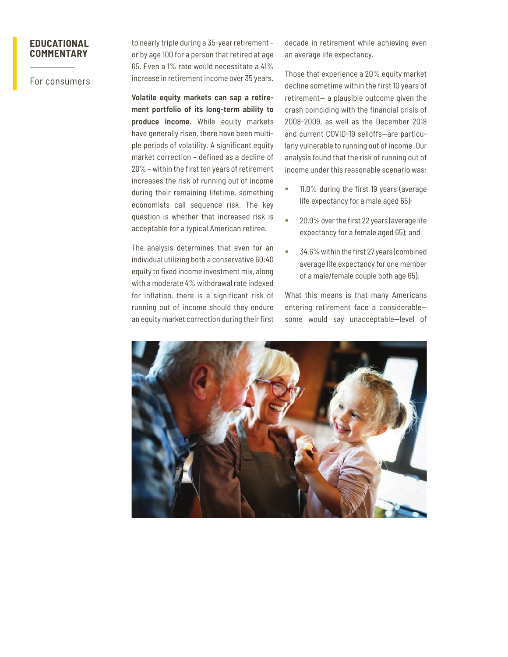For consumers

to nearly triple during a 35-year retirement – or by age 100 for a person that retired at age 65. Even a 1% rate would necessitate a 41% increase in retirement income over 35 years.

**Volatile equity markets can sap a retirement portfolio of its long-term ability to produce income.** While equity markets have generally risen, there have been multiple periods of volatility. A significant equity market correction – defined as a decline of 20% – within the first ten years of retirement increases the risk of running out of income during their remaining lifetime, something economists call sequence risk. The key question is whether that increased risk is acceptable for a typical American retiree.

The analysis determines that even for an individual utilizing both a conservative 60:40 equity to fixed income investment mix, along with a moderate 4% withdrawal rate indexed for inflation, there is a significant risk of running out of income should they endure an equity market correction during their first

decade in retirement while achieving even an average life expectancy.

Those that experience a 20% equity market decline sometime within the first 10 years of retirement— a plausible outcome given the crash coinciding with the financial crisis of 2008-2009, as well as the December 2018 and current COVID-19 selloffs—are particularly vulnerable to running out of income. Our analysis found that the risk of running out of income under this reasonable scenario was:

- 11.0% during the first 19 years (average life expectancy for a male aged 65);
- 20.0% over the first 22 years (average life expectancy for a female aged 65); and
- 34.6% within the first 27 years (combined average life expectancy for one member of a male/female couple both age 65).

What this means is that many Americans entering retirement face a considerable some would say unacceptable—level of